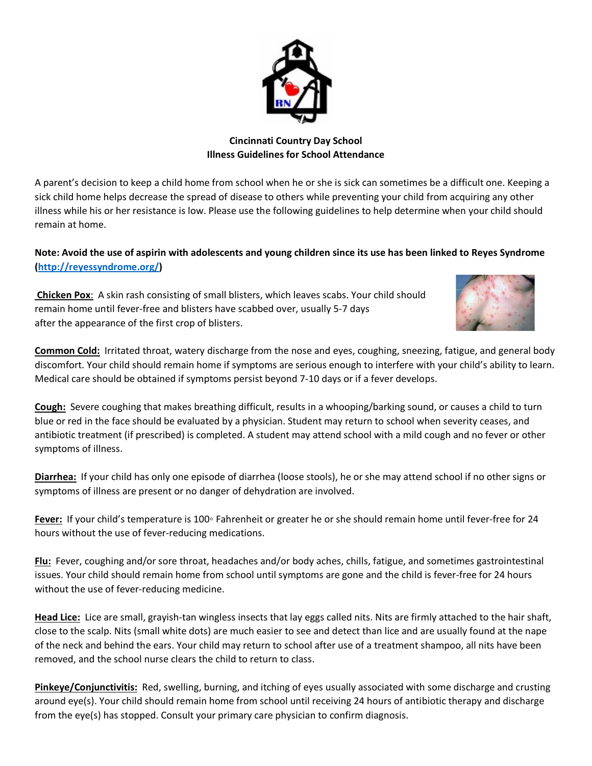

## **Cincinnati Country Day School Illness Guidelines for School Attendance**

A parent's decision to keep a child home from school when he or she is sick can sometimes be a difficult one. Keeping a sick child home helps decrease the spread of disease to others while preventing your child from acquiring any other illness while his or her resistance is low. Please use the following guidelines to help determine when your child should remain at home.

## **Note: Avoid the use of aspirin with adolescents and young children since its use has been linked to Reyes Syndrome [\(http://reyessyndrome.org/\)](http://reyessyndrome.org/)**

**Chicken Pox**: A skin rash consisting of small blisters, which leaves scabs. Your child should remain home until fever-free and blisters have scabbed over, usually 5-7 days after the appearance of the first crop of blisters.



**Common Cold:** Irritated throat, watery discharge from the nose and eyes, coughing, sneezing, fatigue, and general body discomfort. Your child should remain home if symptoms are serious enough to interfere with your child's ability to learn. Medical care should be obtained if symptoms persist beyond 7-10 days or if a fever develops.

**Cough:** Severe coughing that makes breathing difficult, results in a whooping/barking sound, or causes a child to turn blue or red in the face should be evaluated by a physician. Student may return to school when severity ceases, and antibiotic treatment (if prescribed) is completed. A student may attend school with a mild cough and no fever or other symptoms of illness.

**Diarrhea:** If your child has only one episode of diarrhea (loose stools), he or she may attend school if no other signs or symptoms of illness are present or no danger of dehydration are involved.

**Fever:** If your child's temperature is 100◦ Fahrenheit or greater he or she should remain home until fever-free for 24 hours without the use of fever-reducing medications.

**Flu:** Fever, coughing and/or sore throat, headaches and/or body aches, chills, fatigue, and sometimes gastrointestinal issues. Your child should remain home from school until symptoms are gone and the child is fever-free for 24 hours without the use of fever-reducing medicine.

**Head Lice:** Lice are small, grayish-tan wingless insects that lay eggs called nits. Nits are firmly attached to the hair shaft, close to the scalp. Nits (small white dots) are much easier to see and detect than lice and are usually found at the nape of the neck and behind the ears. Your child may return to school after use of a treatment shampoo, all nits have been removed, and the school nurse clears the child to return to class.

**Pinkeye/Conjunctivitis:** Red, swelling, burning, and itching of eyes usually associated with some discharge and crusting around eye(s). Your child should remain home from school until receiving 24 hours of antibiotic therapy and discharge from the eye(s) has stopped. Consult your primary care physician to confirm diagnosis.